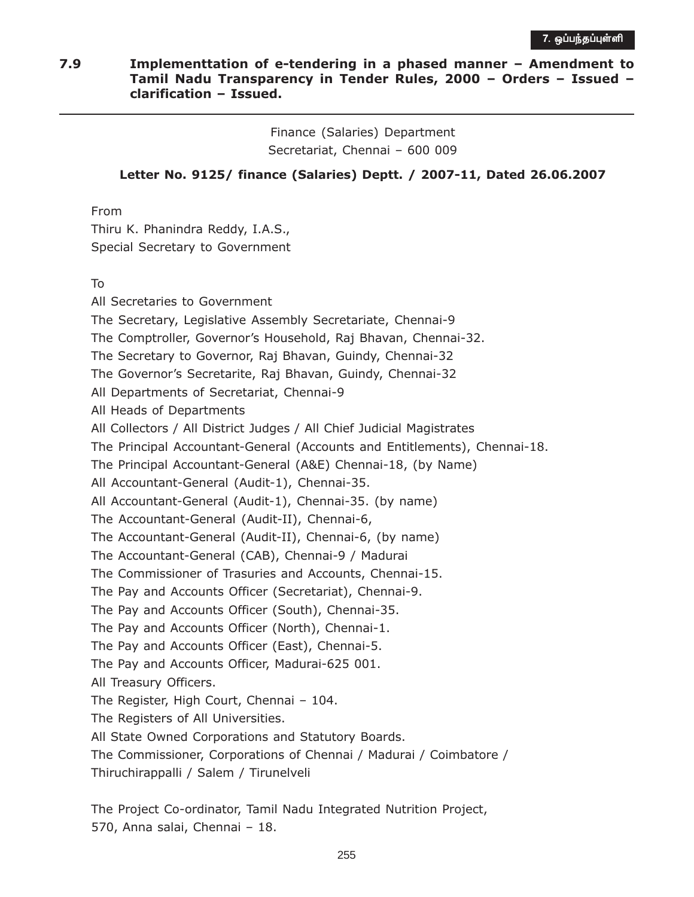## 7.9 Implementtation of e-tendering in a phased manner – Amendment to Tamil Nadu Transparency in Tender Rules, 2000 – Orders – Issued – clarification – Issued.

Finance (Salaries) Department Secretariat, Chennai – 600 009

## Letter No. 9125/ finance (Salaries) Deptt. / 2007-11, Dated 26.06.2007

From

Thiru K. Phanindra Reddy, I.A.S., Special Secretary to Government

To

All Secretaries to Government The Secretary, Legislative Assembly Secretariate, Chennai-9 The Comptroller, Governor's Household, Raj Bhavan, Chennai-32. The Secretary to Governor, Raj Bhavan, Guindy, Chennai-32 The Governor's Secretarite, Raj Bhavan, Guindy, Chennai-32 All Departments of Secretariat, Chennai-9 All Heads of Departments All Collectors / All District Judges / All Chief Judicial Magistrates The Principal Accountant-General (Accounts and Entitlements), Chennai-18. The Principal Accountant-General (A&E) Chennai-18, (by Name) All Accountant-General (Audit-1), Chennai-35. All Accountant-General (Audit-1), Chennai-35. (by name) The Accountant-General (Audit-II), Chennai-6, The Accountant-General (Audit-II), Chennai-6, (by name) The Accountant-General (CAB), Chennai-9 / Madurai The Commissioner of Trasuries and Accounts, Chennai-15. The Pay and Accounts Officer (Secretariat), Chennai-9. The Pay and Accounts Officer (South), Chennai-35. The Pay and Accounts Officer (North), Chennai-1. The Pay and Accounts Officer (East), Chennai-5. The Pay and Accounts Officer, Madurai-625 001. All Treasury Officers. The Register, High Court, Chennai – 104. The Registers of All Universities. All State Owned Corporations and Statutory Boards. The Commissioner, Corporations of Chennai / Madurai / Coimbatore / Thiruchirappalli / Salem / Tirunelveli

The Project Co-ordinator, Tamil Nadu Integrated Nutrition Project, 570, Anna salai, Chennai – 18.